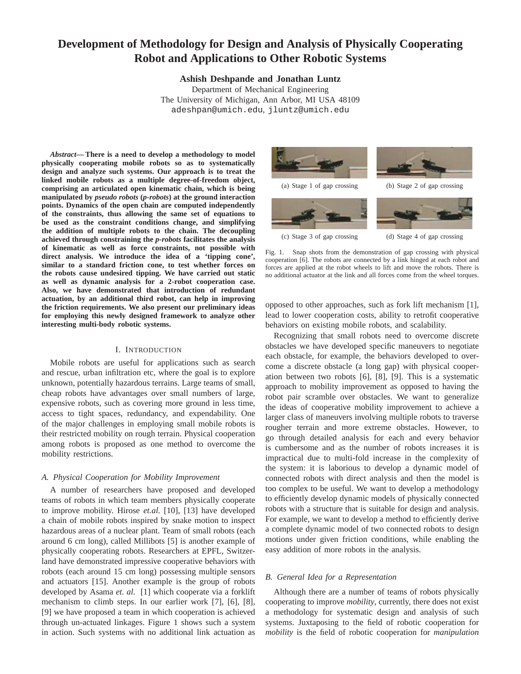# **Development of Methodology for Design and Analysis of Physically Cooperating Robot and Applications to Other Robotic Systems**

**Ashish Deshpande and Jonathan Luntz**

Department of Mechanical Engineering The University of Michigan, Ann Arbor, MI USA 48109 adeshpan@umich.edu, jluntz@umich.edu

*Abstract***— There is a need to develop a methodology to model physically cooperating mobile robots so as to systematically design and analyze such systems. Our approach is to treat the linked mobile robots as a multiple degree-of-freedom object, comprising an articulated open kinematic chain, which is being manipulated by** *pseudo robots* **(***p-robots***) at the ground interaction points. Dynamics of the open chain are computed independently of the constraints, thus allowing the same set of equations to be used as the constraint conditions change, and simplifying the addition of multiple robots to the chain. The decoupling achieved through constraining the** *p-robots* **facilitates the analysis of kinematic as well as force constraints, not possible with direct analysis. We introduce the idea of a 'tipping cone', similar to a standard friction cone, to test whether forces on the robots cause undesired tipping. We have carried out static as well as dynamic analysis for a 2-robot cooperation case. Also, we have demonstrated that introduction of redundant actuation, by an additional third robot, can help in improving the friction requirements. We also present our preliminary ideas for employing this newly designed framework to analyze other interesting multi-body robotic systems.**

## I. INTRODUCTION

Mobile robots are useful for applications such as search and rescue, urban infiltration etc, where the goal is to explore unknown, potentially hazardous terrains. Large teams of small, cheap robots have advantages over small numbers of large, expensive robots, such as covering more ground in less time, access to tight spaces, redundancy, and expendability. One of the major challenges in employing small mobile robots is their restricted mobility on rough terrain. Physical cooperation among robots is proposed as one method to overcome the mobility restrictions.

#### *A. Physical Cooperation for Mobility Improvement*

A number of researchers have proposed and developed teams of robots in which team members physically cooperate to improve mobility. Hirose *et.al.* [10], [13] have developed a chain of mobile robots inspired by snake motion to inspect hazardous areas of a nuclear plant. Team of small robots (each around 6 cm long), called Millibots [5] is another example of physically cooperating robots. Researchers at EPFL, Switzerland have demonstrated impressive cooperative behaviors with robots (each around 15 cm long) possessing multiple sensors and actuators [15]. Another example is the group of robots developed by Asama *et. al.* [1] which cooperate via a forklift mechanism to climb steps. In our earlier work [7], [6], [8], [9] we have proposed a team in which cooperation is achieved through un-actuated linkages. Figure 1 shows such a system in action. Such systems with no additional link actuation as



Fig. 1. Snap shots from the demonstration of gap crossing with physical cooperation [6]. The robots are connected by a link hinged at each robot and forces are applied at the robot wheels to lift and move the robots. There is no additional actuator at the link and all forces come from the wheel torques.

opposed to other approaches, such as fork lift mechanism [1], lead to lower cooperation costs, ability to retrofit cooperative behaviors on existing mobile robots, and scalability.

Recognizing that small robots need to overcome discrete obstacles we have developed specific maneuvers to negotiate each obstacle, for example, the behaviors developed to overcome a discrete obstacle (a long gap) with physical cooperation between two robots [6], [8], [9]. This is a systematic approach to mobility improvement as opposed to having the robot pair scramble over obstacles. We want to generalize the ideas of cooperative mobility improvement to achieve a larger class of maneuvers involving multiple robots to traverse rougher terrain and more extreme obstacles. However, to go through detailed analysis for each and every behavior is cumbersome and as the number of robots increases it is impractical due to multi-fold increase in the complexity of the system: it is laborious to develop a dynamic model of connected robots with direct analysis and then the model is too complex to be useful. We want to develop a methodology to efficiently develop dynamic models of physically connected robots with a structure that is suitable for design and analysis. For example, we want to develop a method to efficiently derive a complete dynamic model of two connected robots to design motions under given friction conditions, while enabling the easy addition of more robots in the analysis.

## *B. General Idea for a Representation*

Although there are a number of teams of robots physically cooperating to improve *mobility*, currently, there does not exist a methodology for systematic design and analysis of such systems. Juxtaposing to the field of robotic cooperation for *mobility* is the field of robotic cooperation for *manipulation*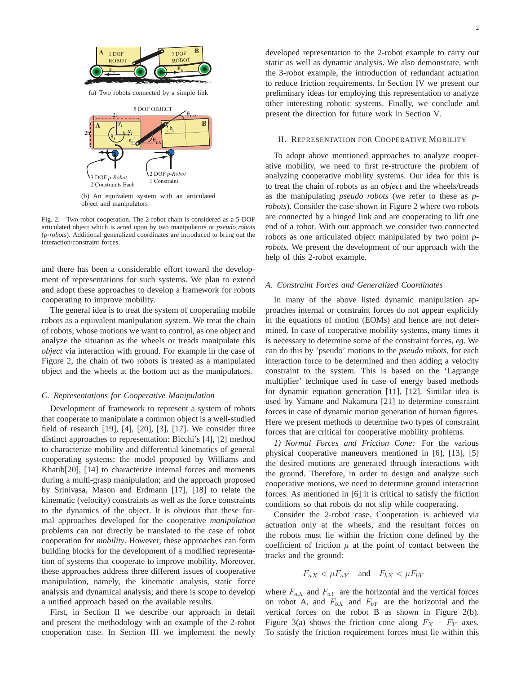

(b) An equivalent system with an articulated object and manipulators

Fig. 2. Two-robot cooperation. The 2-robot chain is considered as a 5-DOF articulated object which is acted upon by two manipulators or *pseudo robots* (*p-robots*). Additional generalized coordinates are introduced to bring out the interaction/constraint forces.

and there has been a considerable effort toward the development of representations for such systems. We plan to extend and adopt these approaches to develop a framework for robots cooperating to improve mobility.

The general idea is to treat the system of cooperating mobile robots as a equivalent manipulation system. We treat the chain of robots, whose motions we want to control, as one object and analyze the situation as the wheels or treads manipulate this *object* via interaction with ground. For example in the case of Figure 2, the chain of two robots is treated as a manipulated object and the wheels at the bottom act as the manipulators.

#### *C. Representations for Cooperative Manipulation*

Development of framework to represent a system of robots that cooperate to manipulate a common object is a well-studied field of research [19], [4], [20], [3], [17]. We consider three distinct approaches to representation: Bicchi's [4], [2] method to characterize mobility and differential kinematics of general cooperating systems; the model proposed by Williams and Khatib[20], [14] to characterize internal forces and moments during a multi-grasp manipulation; and the approach proposed by Srinivasa, Mason and Erdmann [17], [18] to relate the kinematic (velocity) constraints as well as the force constraints to the dynamics of the object. It is obvious that these formal approaches developed for the cooperative *manipulation* problems can not directly be translated to the case of robot cooperation for *mobility*. However, these approaches can form building blocks for the development of a modified representation of systems that cooperate to improve mobility. Moreover, these approaches address three different issues of cooperative manipulation, namely, the kinematic analysis, static force analysis and dynamical analysis; and there is scope to develop a unified approach based on the available results.

First, in Section II we describe our approach in detail and present the methodology with an example of the 2-robot cooperation case. In Section III we implement the newly

developed representation to the 2-robot example to carry out static as well as dynamic analysis. We also demonstrate, with the 3-robot example, the introduction of redundant actuation to reduce friction requirements. In Section IV we present our preliminary ideas for employing this representation to analyze other interesting robotic systems. Finally, we conclude and present the direction for future work in Section V.

#### II. REPRESENTATION FOR COOPERATIVE MOBILITY

To adopt above mentioned approaches to analyze cooperative mobility, we need to first re-structure the problem of analyzing cooperative mobility systems. Our idea for this is to treat the chain of robots as an *object* and the wheels/treads as the manipulating *pseudo robots* (we refer to these as *probots*). Consider the case shown in Figure 2 where two robots are connected by a hinged link and are cooperating to lift one end of a robot. With our approach we consider two connected robots as one articulated object manipulated by two point *probots*. We present the development of our approach with the help of this 2-robot example.

# *A. Constraint Forces and Generalized Coordinates*

In many of the above listed dynamic manipulation approaches internal or constraint forces do not appear explicitly in the equations of motion (EOMs) and hence are not determined. In case of cooperative mobility systems, many times it is necessary to determine some of the constraint forces, *eg*. We can do this by 'pseudo' motions to the *pseudo robots*, for each interaction force to be determined and then adding a velocity constraint to the system. This is based on the 'Lagrange multiplier' technique used in case of energy based methods for dynamic equation generation [11], [12]. Similar idea is used by Yamane and Nakamura [21] to determine constraint forces in case of dynamic motion generation of human figures. Here we present methods to determine two types of constraint forces that are critical for cooperative mobility problems.

*1) Normal Forces and Friction Cone:* For the various physical cooperative maneuvers mentioned in [6], [13], [5] the desired motions are generated through interactions with the ground. Therefore, in order to design and analyze such cooperative motions, we need to determine ground interaction forces. As mentioned in [6] it is critical to satisfy the friction conditions so that robots do not slip while cooperating.

Consider the 2-robot case. Cooperation is achieved via actuation only at the wheels, and the resultant forces on the robots must lie within the friction cone defined by the coefficient of friction  $\mu$  at the point of contact between the tracks and the ground:

$$
F_{aX} < \mu F_{aY} \quad \text{and} \quad F_{bX} < \mu F_{bY}
$$

where  $F_{aX}$  and  $F_{aY}$  are the horizontal and the vertical forces on robot A, and  $F_{bX}$  and  $F_{bY}$  are the horizontal and the vertical forces on the robot B as shown in Figure 2(b). Figure 3(a) shows the friction cone along  $F_X - F_Y$  axes. To satisfy the friction requirement forces must lie within this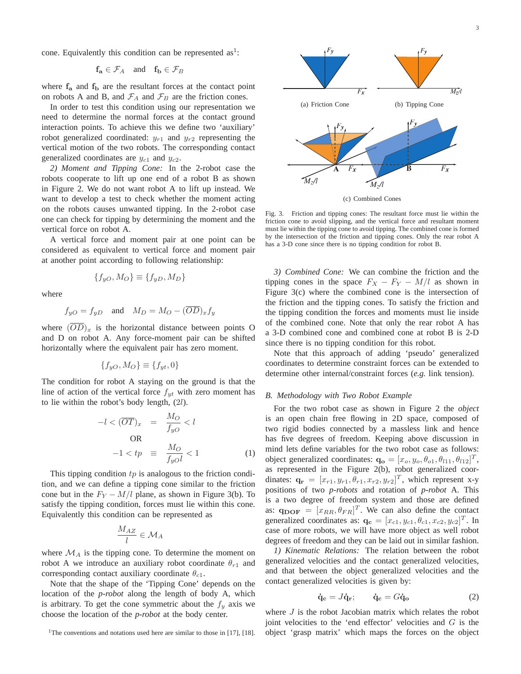cone. Equivalently this condition can be represented  $as<sup>1</sup>$ :

$$
\mathbf{f_a} \in \mathcal{F}_A \quad \text{and} \quad \mathbf{f_b} \in \mathcal{F}_B
$$

where  $f_a$  and  $f_b$  are the resultant forces at the contact point on robots A and B, and  $\mathcal{F}_A$  and  $\mathcal{F}_B$  are the friction cones.

In order to test this condition using our representation we need to determine the normal forces at the contact ground interaction points. To achieve this we define two 'auxiliary' robot generalized coordinated:  $y_{r1}$  and  $y_{r2}$  representing the vertical motion of the two robots. The corresponding contact generalized coordinates are  $y_{c1}$  and  $y_{c2}$ .

*2) Moment and Tipping Cone:* In the 2-robot case the robots cooperate to lift up one end of a robot B as shown in Figure 2. We do not want robot A to lift up instead. We want to develop a test to check whether the moment acting on the robots causes unwanted tipping. In the 2-robot case one can check for tipping by determining the moment and the vertical force on robot A.

A vertical force and moment pair at one point can be considered as equivalent to vertical force and moment pair at another point according to following relationship:

$$
\{f_{yO}, M_O\} \equiv \{f_{yD}, M_D\}
$$

where

$$
f_{yO} = f_{yD}
$$
 and  $M_D = M_O - (\overline{OD})_x f_y$ 

where  $(\overline{OD})_x$  is the horizontal distance between points O and D on robot A. Any force-moment pair can be shifted horizontally where the equivalent pair has zero moment.

$$
\{f_{yO}, M_O\} \equiv \{f_{yt}, 0\}
$$

The condition for robot A staying on the ground is that the line of action of the vertical force  $f_{yt}$  with zero moment has to lie within the robot's body length, (2l).

$$
-l < (\overline{OT})_x = \frac{M_O}{f_{yO}} < l
$$
\n
$$
\text{OR}
$$
\n
$$
-1 < tp \equiv \frac{M_O}{f_{yO}l} < 1 \tag{1}
$$

This tipping condition  $tp$  is analogous to the friction condition, and we can define a tipping cone similar to the friction cone but in the  $F_Y - M/l$  plane, as shown in Figure 3(b). To satisfy the tipping condition, forces must lie within this cone. Equivalently this condition can be represented as

$$
\frac{M_{AZ}}{l}\in\mathcal{M}_A
$$

where  $\mathcal{M}_A$  is the tipping cone. To determine the moment on robot A we introduce an auxiliary robot coordinate  $\theta_{r1}$  and corresponding contact auxiliary coordinate  $\theta_{c1}$ .

Note that the shape of the 'Tipping Cone' depends on the location of the *p-robot* along the length of body A, which is arbitrary. To get the cone symmetric about the  $f_y$  axis we choose the location of the *p-robot* at the body center.



(c) Combined Cones

Fig. 3. Friction and tipping cones: The resultant force must lie within the friction cone to avoid slipping, and the vertical force and resultant moment must lie within the tipping cone to avoid tipping. The combined cone is formed by the intersection of the friction and tipping cones. Only the rear robot A has a 3-D cone since there is no tipping condition for robot B.

*3) Combined Cone:* We can combine the friction and the tipping cones in the space  $F_X - F_Y - M/l$  as shown in Figure 3(c) where the combined cone is the intersection of the friction and the tipping cones. To satisfy the friction and the tipping condition the forces and moments must lie inside of the combined cone. Note that only the rear robot A has a 3-D combined cone and combined cone at robot B is 2-D since there is no tipping condition for this robot.

Note that this approach of adding 'pseudo' generalized coordinates to determine constraint forces can be extended to determine other internal/constraint forces (*e.g.* link tension).

#### *B. Methodology with Two Robot Example*

For the two robot case as shown in Figure 2 the *object* is an open chain free flowing in 2D space, composed of two rigid bodies connected by a massless link and hence has five degrees of freedom. Keeping above discussion in mind lets define variables for the two robot case as follows: object generalized coordinates:  $\mathbf{q_o} = [x_o, y_o, \theta_{o1}, \theta_{l11}, \theta_{l12}]^T$ , as represented in the Figure 2(b), robot generalized coordinates:  $\mathbf{q_r} = [x_{r1}, y_{r1}, \theta_{r1}, x_{r2}, y_{r2}]^T$ , which represent x-y positions of two *p-robots* and rotation of *p-robot* A. This is a two degree of freedom system and those are defined as:  $\mathbf{q}_{\text{DOF}} = [x_{RR}, \theta_{FR}]^T$ . We can also define the contact generalized coordinates as:  $\mathbf{q_c} = [x_{c1}, y_{c1}, \theta_{c1}, x_{c2}, y_{c2}]^T$ . In case of more robots, we will have more object as well robot degrees of freedom and they can be laid out in similar fashion.

*1) Kinematic Relations:* The relation between the robot generalized velocities and the contact generalized velocities, and that between the object generalized velocities and the contact generalized velocities is given by:

$$
\dot{\mathbf{q}}_{\mathbf{c}} = J\dot{\mathbf{q}}_{\mathbf{r}}; \qquad \dot{\mathbf{q}}_{\mathbf{c}} = G\dot{\mathbf{q}}_{\mathbf{o}} \tag{2}
$$

where *J* is the robot Jacobian matrix which relates the robot joint velocities to the 'end effector' velocities and G is the object 'grasp matrix' which maps the forces on the object

<sup>&</sup>lt;sup>1</sup>The conventions and notations used here are similar to those in [17], [18].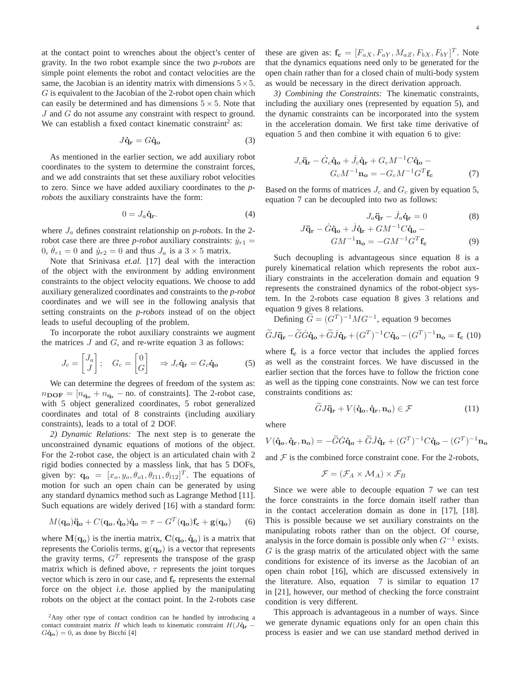at the contact point to wrenches about the object's center of gravity. In the two robot example since the two *p-robots* are simple point elements the robot and contact velocities are the same, the Jacobian is an identity matrix with dimensions  $5 \times 5$ .  $G$  is equivalent to the Jacobian of the 2-robot open chain which can easily be determined and has dimensions  $5 \times 5$ . Note that J and G do not assume any constraint with respect to ground. We can establish a fixed contact kinematic constraint<sup>2</sup> as:

$$
J\dot{\mathbf{q}}_{\mathbf{r}} = G\dot{\mathbf{q}}_{\mathbf{o}} \tag{3}
$$

As mentioned in the earlier section, we add auxiliary robot coordinates to the system to determine the constraint forces, and we add constraints that set these auxiliary robot velocities to zero. Since we have added auxiliary coordinates to the *probots* the auxiliary constraints have the form:

$$
0 = J_a \dot{\mathbf{q}}_{\mathbf{r}}.\tag{4}
$$

where  $J_a$  defines constraint relationship on *p-robots*. In the 2robot case there are three *p-robot* auxiliary constraints:  $\dot{y}_{r1}$  = 0,  $\dot{\theta}_{r1} = 0$  and  $\dot{y}_{r2} = 0$  and thus  $J_a$  is a  $3 \times 5$  matrix.

Note that Srinivasa *et.al.* [17] deal with the interaction of the object with the environment by adding environment constraints to the object velocity equations. We choose to add auxiliary generalized coordinates and constraints to the *p-robot* coordinates and we will see in the following analysis that setting constraints on the *p-robots* instead of on the object leads to useful decoupling of the problem.

To incorporate the robot auxiliary constraints we augment the matrices  $J$  and  $G$ , and re-write equation 3 as follows:

$$
J_c = \begin{bmatrix} J_a \\ J \end{bmatrix}; \quad G_c = \begin{bmatrix} 0 \\ G \end{bmatrix} \quad \Rightarrow J_c \dot{\mathbf{q}}_{\mathbf{r}} = G_c \dot{\mathbf{q}}_{\mathbf{0}} \tag{5}
$$

We can determine the degrees of freedom of the system as:  $n_{\text{DOF}} = [n_{\text{q}_\text{o}} + n_{\text{q}_\text{r}} - \text{no. of constraints}]$ . The 2-robot case, with 5 object generalized coordinates, 5 robot generalized coordinates and total of 8 constraints (including auxiliary constraints), leads to a total of 2 DOF.

*2) Dynamic Relations:* The next step is to generate the unconstrained dynamic equations of motions of the object. For the 2-robot case, the object is an articulated chain with 2 rigid bodies connected by a massless link, that has 5 DOFs, given by:  $\mathbf{q_o} = [x_o, y_o, \theta_{o1}, \theta_{l11}, \theta_{l12}]^T$ . The equations of motion for such an open chain can be generated by using any standard dynamics method such as Lagrange Method [11]. Such equations are widely derived [16] with a standard form:

$$
M(\mathbf{q_o})\ddot{\mathbf{q_o}} + C(\mathbf{q_o}, \dot{\mathbf{q_o}})\dot{\mathbf{q_o}} = \tau - G^T(\mathbf{q_o})\mathbf{f_c} + \mathbf{g}(\mathbf{q_o}) \qquad (6)
$$

where  $M(\mathbf{q}_{o})$  is the inertia matrix,  $C(\mathbf{q}_{o}, \dot{\mathbf{q}}_{o})$  is a matrix that represents the Coriolis terms,  $g(q_o)$  is a vector that represents the gravity terms,  $G<sup>T</sup>$  represents the transpose of the grasp matrix which is defined above,  $\tau$  represents the joint torques vector which is zero in our case, and  $f_c$  represents the external force on the object *i.e.* those applied by the manipulating robots on the object at the contact point. In the 2-robots case

these are given as:  $\mathbf{f_c} = [F_{aX}, F_{aY}, M_{aZ}, F_{bX}, F_{bY}]^T$ . Note that the dynamics equations need only to be generated for the open chain rather than for a closed chain of multi-body system as would be necessary in the direct derivation approach.

*3) Combining the Constraints:* The kinematic constraints, including the auxiliary ones (represented by equation 5), and the dynamic constraints can be incorporated into the system in the acceleration domain. We first take time derivative of equation 5 and then combine it with equation 6 to give:

$$
J_c \ddot{\mathbf{q}}_{\mathbf{r}} - \dot{G}_c \dot{\mathbf{q}}_{\mathbf{o}} + \dot{J}_c \dot{\mathbf{q}}_{\mathbf{r}} + G_c M^{-1} C \dot{\mathbf{q}}_{\mathbf{o}} -
$$
  

$$
G_c M^{-1} \mathbf{n}_{\mathbf{o}} = -G_c M^{-1} G^T \mathbf{f}_{\mathbf{c}}
$$
 (7)

Based on the forms of matrices  $J_c$  and  $G_c$  given by equation 5, equation 7 can be decoupled into two as follows:

$$
J_a \ddot{\mathbf{q}}_{\mathbf{r}} - \dot{J}_a \dot{\mathbf{q}}_{\mathbf{r}} = 0 \tag{8}
$$

$$
J\ddot{\mathbf{q}}_{\mathbf{r}} - \dot{G}\dot{\mathbf{q}}_{\mathbf{o}} + \dot{J}\dot{\mathbf{q}}_{\mathbf{r}} + GM^{-1}C\dot{\mathbf{q}}_{\mathbf{o}} -
$$
  

$$
GM^{-1}\mathbf{n}_{\mathbf{o}} = -GM^{-1}G^{T}\mathbf{f}_{\mathbf{c}}
$$
 (9)

Such decoupling is advantageous since equation 8 is a purely kinematical relation which represents the robot auxiliary constraints in the acceleration domain and equation 9 represents the constrained dynamics of the robot-object system. In the 2-robots case equation 8 gives 3 relations and equation 9 gives 8 relations.

Defining  $\widetilde{G} = (G^T)^{-1} M G^{-1}$ , equation 9 becomes

$$
\widetilde{G}J\ddot{\mathbf{q}}_{\mathbf{r}} - \widetilde{G}\dot{G}\dot{\mathbf{q}}_{\mathbf{o}} + \widetilde{G}J\dot{\mathbf{q}}_{\mathbf{r}} + (G^{T})^{-1}C\dot{\mathbf{q}}_{\mathbf{o}} - (G^{T})^{-1}\mathbf{n}_{\mathbf{o}} = \mathbf{f}_{\mathbf{c}}\tag{10}
$$

where  $f_c$  is a force vector that includes the applied forces as well as the constraint forces. We have discussed in the earlier section that the forces have to follow the friction cone as well as the tipping cone constraints. Now we can test force constraints conditions as:

$$
GJ\ddot{\mathbf{q}}_{\mathbf{r}} + V(\dot{\mathbf{q}}_{\mathbf{o}}, \dot{\mathbf{q}}_{\mathbf{r}}, \mathbf{n}_{\mathbf{o}}) \in \mathcal{F}
$$
 (11)

where

$$
V(\dot{\mathbf{q}}_o, \dot{\mathbf{q}}_r, \mathbf{n}_o) = -\widetilde{G}\dot{G}\dot{\mathbf{q}}_o + \widetilde{G}J\dot{\mathbf{q}}_r + (G^T)^{-1}C\dot{\mathbf{q}}_o - (G^T)^{-1}\mathbf{n}_o
$$

and  $F$  is the combined force constraint cone. For the 2-robots,

$$
\mathcal{F} = (\mathcal{F}_A \times \mathcal{M}_A) \times \mathcal{F}_B
$$

Since we were able to decouple equation 7 we can test the force constraints in the force domain itself rather than in the contact acceleration domain as done in [17], [18]. This is possible because we set auxiliary constraints on the manipulating robots rather than on the object. Of course, analysis in the force domain is possible only when  $G^{-1}$  exists.  $G$  is the grasp matrix of the articulated object with the same conditions for existence of its inverse as the Jacobian of an open chain robot [16], which are discussed extensively in the literature. Also, equation 7 is similar to equation 17 in [21], however, our method of checking the force constraint condition is very different.

This approach is advantageous in a number of ways. Since we generate dynamic equations only for an open chain this process is easier and we can use standard method derived in

 $2$ Any other type of contact condition can be handled by introducing a contact constraint matrix H which leads to kinematic constraint  $H(J\dot{q}_r G\dot{\mathbf{q}}_{\mathbf{o}} = 0$ , as done by Bicchi [4]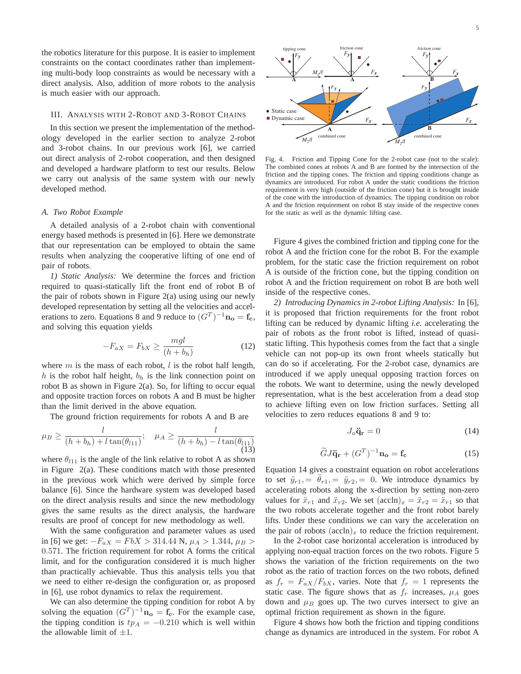the robotics literature for this purpose. It is easier to implement constraints on the contact coordinates rather than implementing multi-body loop constraints as would be necessary with a direct analysis. Also, addition of more robots to the analysis is much easier with our approach.

# III. ANALYSIS WITH 2-ROBOT AND 3-ROBOT CHAINS

In this section we present the implementation of the methodology developed in the earlier section to analyze 2-robot and 3-robot chains. In our previous work [6], we carried out direct analysis of 2-robot cooperation, and then designed and developed a hardware platform to test our results. Below we carry out analysis of the same system with our newly developed method.

#### *A. Two Robot Example*

A detailed analysis of a 2-robot chain with conventional energy based methods is presented in [6]. Here we demonstrate that our representation can be employed to obtain the same results when analyzing the cooperative lifting of one end of pair of robots.

*1) Static Analysis:* We determine the forces and friction required to quasi-statically lift the front end of robot B of the pair of robots shown in Figure  $2(a)$  using using our newly developed representation by setting all the velocities and accelerations to zero. Equations 8 and 9 reduce to  $(G<sup>T</sup>)^{-1}$ **n**<sub>o</sub> = **f**<sub>c</sub>, and solving this equation yields

$$
-F_{aX} = F_{bX} \ge \frac{mgl}{(h+b_h)}
$$
(12)

where  $m$  is the mass of each robot,  $l$  is the robot half length, h is the robot half height,  $b_h$  is the link connection point on robot B as shown in Figure 2(a). So, for lifting to occur equal and opposite traction forces on robots A and B must be higher than the limit derived in the above equation.

The ground friction requirements for robots A and B are

$$
\mu_B \ge \frac{l}{(h + b_h) + l \tan(\theta_{l11})}; \quad \mu_A \ge \frac{l}{(h + b_h) - l \tan(\theta_{l11})}
$$
(13)

where  $\theta_{l11}$  is the angle of the link relative to robot A as shown in Figure 2(a). These conditions match with those presented in the previous work which were derived by simple force balance [6]. Since the hardware system was developed based on the direct analysis results and since the new methodology gives the same results as the direct analysis, the hardware results are proof of concept for new methodology as well.

With the same configuration and parameter values as used in [6] we get:  $-F_{aX} = FbX > 314.44$  N,  $\mu_A > 1.344$ ,  $\mu_B >$ 0.571. The friction requirement for robot A forms the critical limit, and for the configuration considered it is much higher than practically achievable. Thus this analysis tells you that we need to either re-design the configuration or, as proposed in [6], use robot dynamics to relax the requirement.

We can also determine the tipping condition for robot A by solving the equation  $(G<sup>T</sup>)^{-1}$ **n<sub>o</sub>** = **f**<sub>c</sub>. For the example case, the tipping condition is  $tp_A = -0.210$  which is well within the allowable limit of  $\pm 1$ .



Fig. 4. Friction and Tipping Cone for the 2-robot case (not to the scale): The combined cones at robots A and B are formed by the intersection of the friction and the tipping cones. The friction and tipping conditions change as dynamics are introduced. For robot A under the static conditions the friction requirement is very high (outside of the friction cone) but it is brought inside of the cone with the introduction of dynamics. The tipping condition on robot A and the friction requirement on robot B stay inside of the respective cones for the static as well as the dynamic lifting case.

Figure 4 gives the combined friction and tipping cone for the robot A and the friction cone for the robot B. For the example problem, for the static case the friction requirement on robot A is outside of the friction cone, but the tipping condition on robot A and the friction requirement on robot B are both well inside of the respective cones.

*2) Introducing Dynamics in 2-robot Lifting Analysis:* In [6], it is proposed that friction requirements for the front robot lifting can be reduced by dynamic lifting *i.e.* accelerating the pair of robots as the front robot is lifted, instead of quasistatic lifting. This hypothesis comes from the fact that a single vehicle can not pop-up its own front wheels statically but can do so if accelerating. For the 2-robot case, dynamics are introduced if we apply unequal opposing traction forces on the robots. We want to determine, using the newly developed representation, what is the best acceleration from a dead stop to achieve lifting even on low friction surfaces. Setting all velocities to zero reduces equations 8 and 9 to:

$$
J_a \ddot{\mathbf{q}}_{\mathbf{r}} = 0 \tag{14}
$$

$$
\widetilde{G}J\ddot{\mathbf{q}}_{\mathbf{r}} + (G^T)^{-1}\mathbf{n_o} = \mathbf{f_c}
$$
 (15)

Equation 14 gives a constraint equation on robot accelerations to set  $\ddot{y}_{r1} = \ddot{\theta}_{r1} = \ddot{y}_{r2} = 0$ . We introduce dynamics by accelerating robots along the x-direction by setting non-zero values for  $\ddot{x}_{r1}$  and  $\ddot{x}_{r2}$ . We set  $(\text{accln})_x = \ddot{x}_{r2} = \ddot{x}_{r1}$  so that the two robots accelerate together and the front robot barely lifts. Under these conditions we can vary the acceleration on the pair of robots  $(\text{accln})_x$  to reduce the friction requirement.

In the 2-robot case horizontal acceleration is introduced by applying non-equal traction forces on the two robots. Figure 5 shows the variation of the friction requirements on the two robot as the ratio of traction forces on the two robots, defined as  $f_r = F_{aX}/F_{bX}$ , varies. Note that  $f_r = 1$  represents the static case. The figure shows that as  $f_r$  increases,  $\mu_A$  goes down and  $\mu_B$  goes up. The two curves intersect to give an optimal friction requirement as shown in the figure.

Figure 4 shows how both the friction and tipping conditions change as dynamics are introduced in the system. For robot A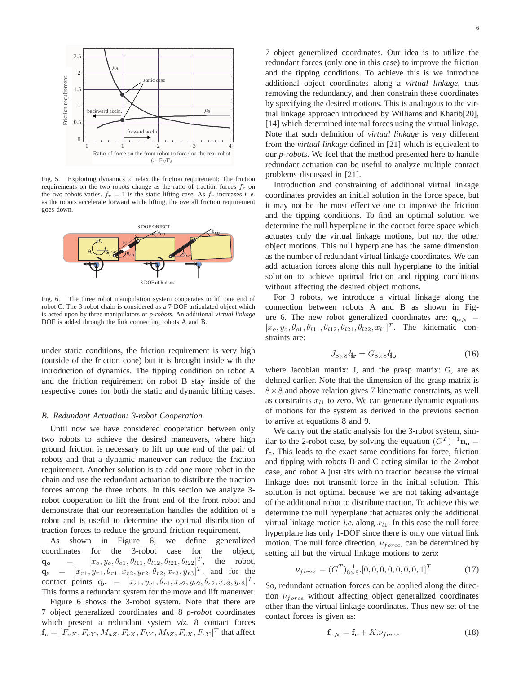

Fig. 5. Exploiting dynamics to relax the friction requirement: The friction requirements on the two robots change as the ratio of traction forces  $f_r$  on the two robots varies.  $f_r = 1$  is the static lifting case. As  $f_r$  increases *i. e.* as the robots accelerate forward while lifting, the overall friction requirement goes down.



Fig. 6. The three robot manipulation system cooperates to lift one end of robot C. The 3-robot chain is considered as a 7-DOF articulated object which is acted upon by three manipulators or *p-robots*. An additional *virtual linkage* DOF is added through the link connecting robots A and B.

under static conditions, the friction requirement is very high (outside of the friction cone) but it is brought inside with the introduction of dynamics. The tipping condition on robot A and the friction requirement on robot B stay inside of the respective cones for both the static and dynamic lifting cases.

#### *B. Redundant Actuation: 3-robot Cooperation*

Until now we have considered cooperation between only two robots to achieve the desired maneuvers, where high ground friction is necessary to lift up one end of the pair of robots and that a dynamic maneuver can reduce the friction requirement. Another solution is to add one more robot in the chain and use the redundant actuation to distribute the traction forces among the three robots. In this section we analyze 3 robot cooperation to lift the front end of the front robot and demonstrate that our representation handles the addition of a robot and is useful to determine the optimal distribution of traction forces to reduce the ground friction requirement.

As shown in Figure 6, we define generalized coordinates for the 3-robot case for the object,  $\mathbf{q_o} = [x_o, y_o, \theta_{o1}, \theta_{l11}, \theta_{l12}, \theta_{l21}, \theta_{l22}]^T$ , the robot,  $\mathbf{q_r}$  =  $[x_{r1}, y_{r1}, \theta_{r1}, x_{r2}, y_{r2}, \theta_{r2}, x_{r3}, y_{r3}]^T$ , and for the contact points  $\mathbf{q_c} = [x_{c1}, y_{c1}, \theta_{c1}, x_{c2}, y_{c2}, \theta_{c2}, x_{c3}, y_{c3}]^T$ . This forms a redundant system for the move and lift maneuver.

Figure 6 shows the 3-robot system. Note that there are 7 object generalized coordinates and 8 *p-robot* coordinates which present a redundant system *viz.* 8 contact forces  $\mathbf{f_c} = [F_{aX}, F_{aY}, M_{aZ}, F_{bX}, F_{bY}, M_{bZ}, F_{cX}, F_{cY}]^T$  that affect

7 object generalized coordinates. Our idea is to utilize the redundant forces (only one in this case) to improve the friction and the tipping conditions. To achieve this is we introduce additional object coordinates along a *virtual linkage*, thus removing the redundancy, and then constrain these coordinates by specifying the desired motions. This is analogous to the virtual linkage approach introduced by Williams and Khatib[20], [14] which determined internal forces using the virtual linkage. Note that such definition of *virtual linkage* is very different from the *virtual linkage* defined in [21] which is equivalent to our *p-robots*. We feel that the method presented here to handle redundant actuation can be useful to analyze multiple contact problems discussed in [21].

Introduction and constraining of additional virtual linkage coordinates provides an initial solution in the force space, but it may not be the most effective one to improve the friction and the tipping conditions. To find an optimal solution we determine the null hyperplane in the contact force space which actuates only the virtual linkage motions, but not the other object motions. This null hyperplane has the same dimension as the number of redundant virtual linkage coordinates. We can add actuation forces along this null hyperplane to the initial solution to achieve optimal friction and tipping conditions without affecting the desired object motions.

For 3 robots, we introduce a virtual linkage along the connection between robots A and B as shown in Figure 6. The new robot generalized coordinates are:  $q_{oN}$  =  $[x_0, y_0, \theta_{01}, \theta_{l11}, \theta_{l12}, \theta_{l21}, \theta_{l22}, x_{l1}]^T$ . The kinematic constraints are:

$$
J_{8\times8}\dot{\mathbf{q}}_{\mathbf{r}} = G_{8\times8}\dot{\mathbf{q}}_{\mathbf{o}} \tag{16}
$$

where Jacobian matrix: J, and the grasp matrix: G, are as defined earlier. Note that the dimension of the grasp matrix is  $8 \times 8$  and above relation gives 7 kinematic constraints, as well as constraints  $x_{l1}$  to zero. We can generate dynamic equations of motions for the system as derived in the previous section to arrive at equations 8 and 9.

We carry out the static analysis for the 3-robot system, similar to the 2-robot case, by solving the equation  $(G<sup>T</sup>)^{-1}$ **n**<sub>o</sub> = fc. This leads to the exact same conditions for force, friction and tipping with robots B and C acting similar to the 2-robot case, and robot A just sits with no traction because the virtual linkage does not transmit force in the initial solution. This solution is not optimal because we are not taking advantage of the additional robot to distribute traction. To achieve this we determine the null hyperplane that actuates only the additional virtual linkage motion *i.e.* along  $x_{l1}$ . In this case the null force hyperplane has only 1-DOF since there is only one virtual link motion. The null force direction,  $v_{force}$ , can be determined by setting all but the virtual linkage motions to zero:

$$
\nu_{force} = (G^T)^{-1}_{8 \times 8} \cdot [0, 0, 0, 0, 0, 0, 0, 1]^T
$$
 (17)

So, redundant actuation forces can be applied along the direction  $\nu_{force}$  without affecting object generalized coordinates other than the virtual linkage coordinates. Thus new set of the contact forces is given as:

$$
\mathbf{f}_{\mathbf{c}N} = \mathbf{f}_{\mathbf{c}} + K.\nu_{force} \tag{18}
$$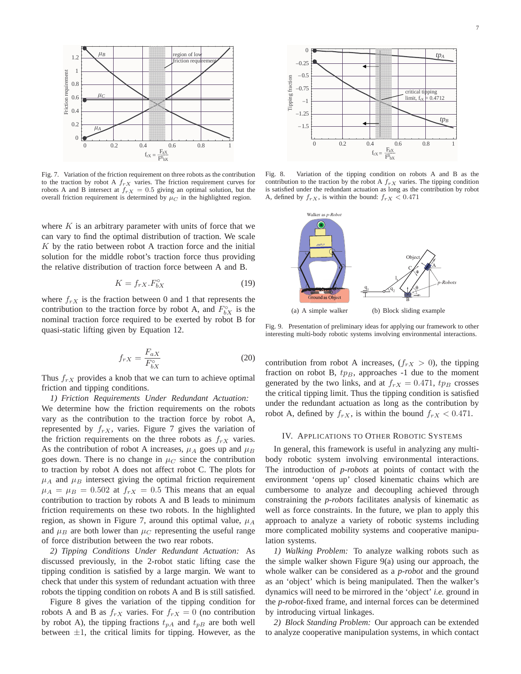

Fig. 7. Variation of the friction requirement on three robots as the contribution to the traction by robot A  $f_{rX}$  varies. The friction requirement curves for robots A and B intersect at  $f_{rX} = 0.5$  giving an optimal solution, but the overall friction requirement is determined by  $\mu_C$  in the highlighted region.

where  $K$  is an arbitrary parameter with units of force that we can vary to find the optimal distribution of traction. We scale  $K$  by the ratio between robot A traction force and the initial solution for the middle robot's traction force thus providing the relative distribution of traction force between A and B.

$$
K = f_{rX} . F_{bX}^{\circ} \tag{19}
$$

where  $f_{rX}$  is the fraction between 0 and 1 that represents the contribution to the traction force by robot A, and  $F_{bX}^{\circ}$  is the nominal traction force required to be exerted by robot B for quasi-static lifting given by Equation 12.

$$
f_{rX} = \frac{F_{aX}}{F_{bX}^{\circ}}
$$
 (20)

Thus  $f_{rX}$  provides a knob that we can turn to achieve optimal friction and tipping conditions.

*1) Friction Requirements Under Redundant Actuation:* We determine how the friction requirements on the robots vary as the contribution to the traction force by robot A, represented by  $f_{rX}$ , varies. Figure 7 gives the variation of the friction requirements on the three robots as  $f_{rX}$  varies. As the contribution of robot A increases,  $\mu_A$  goes up and  $\mu_B$ goes down. There is no change in  $\mu_C$  since the contribution to traction by robot A does not affect robot C. The plots for  $\mu_A$  and  $\mu_B$  intersect giving the optimal friction requirement  $\mu_A = \mu_B = 0.502$  at  $f_{rX} = 0.5$  This means that an equal contribution to traction by robots A and B leads to minimum friction requirements on these two robots. In the highlighted region, as shown in Figure 7, around this optimal value,  $\mu_A$ and  $\mu_B$  are both lower than  $\mu_C$  representing the useful range of force distribution between the two rear robots.

*2) Tipping Conditions Under Redundant Actuation:* As discussed previously, in the 2-robot static lifting case the tipping condition is satisfied by a large margin. We want to check that under this system of redundant actuation with three robots the tipping condition on robots A and B is still satisfied.

Figure 8 gives the variation of the tipping condition for robots A and B as  $f_{rX}$  varies. For  $f_{rX} = 0$  (no contribution by robot A), the tipping fractions  $t_{pA}$  and  $t_{pB}$  are both well between  $\pm 1$ , the critical limits for tipping. However, as the



Fig. 8. Variation of the tipping condition on robots A and B as the contribution to the traction by the robot A  $f_{rX}$  varies. The tipping condition is satisfied under the redundant actuation as long as the contribution by robot A, defined by  $f_{rX}$ , is within the bound:  $f_{rX} < 0.471$ 



Fig. 9. Presentation of preliminary ideas for applying our framework to other interesting multi-body robotic systems involving environmental interactions.

contribution from robot A increases,  $(f_{rX} > 0)$ , the tipping fraction on robot B,  $tp_B$ , approaches -1 due to the moment generated by the two links, and at  $f_{rX} = 0.471$ ,  $tp_B$  crosses the critical tipping limit. Thus the tipping condition is satisfied under the redundant actuation as long as the contribution by robot A, defined by  $f_{rX}$ , is within the bound  $f_{rX} < 0.471$ .

#### IV. APPLICATIONS TO OTHER ROBOTIC SYSTEMS

In general, this framework is useful in analyzing any multibody robotic system involving environmental interactions. The introduction of *p-robots* at points of contact with the environment 'opens up' closed kinematic chains which are cumbersome to analyze and decoupling achieved through constraining the *p-robots* facilitates analysis of kinematic as well as force constraints. In the future, we plan to apply this approach to analyze a variety of robotic systems including more complicated mobility systems and cooperative manipulation systems.

*1) Walking Problem:* To analyze walking robots such as the simple walker shown Figure 9(a) using our approach, the whole walker can be considered as a *p-robot* and the ground as an 'object' which is being manipulated. Then the walker's dynamics will need to be mirrored in the 'object' *i.e.* ground in the *p-robot*-fixed frame, and internal forces can be determined by introducing virtual linkages.

*2) Block Standing Problem:* Our approach can be extended to analyze cooperative manipulation systems, in which contact